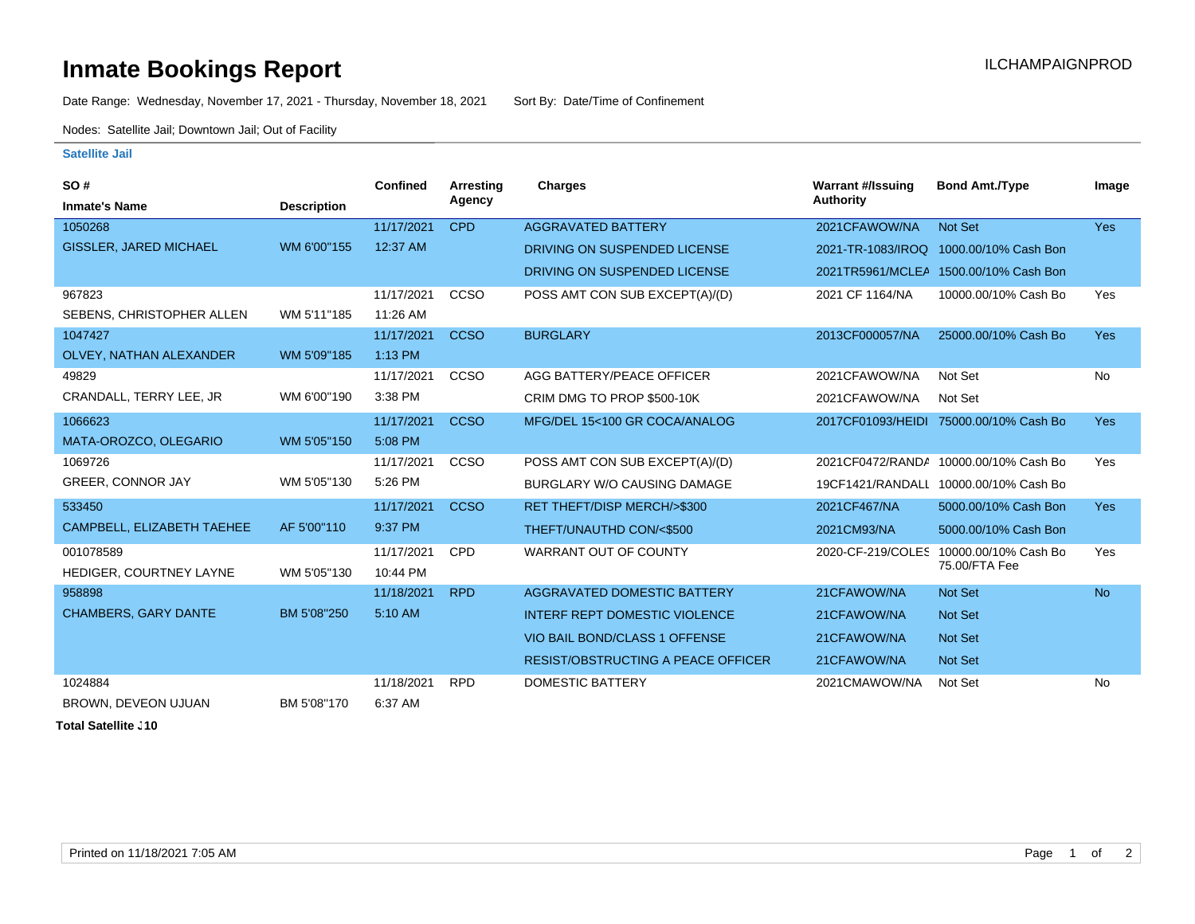## **Inmate Bookings Report Installation ILCHAMPAIGNPROD**

Date Range: Wednesday, November 17, 2021 - Thursday, November 18, 2021 Sort By: Date/Time of Confinement

Nodes: Satellite Jail; Downtown Jail; Out of Facility

## **Satellite Jail**

| SO#                           |                    | <b>Confined</b> | Arresting   | <b>Charges</b>                            | <b>Warrant #/Issuing</b> | <b>Bond Amt./Type</b>                 | Image      |
|-------------------------------|--------------------|-----------------|-------------|-------------------------------------------|--------------------------|---------------------------------------|------------|
| <b>Inmate's Name</b>          | <b>Description</b> |                 | Agency      |                                           | <b>Authority</b>         |                                       |            |
| 1050268                       |                    | 11/17/2021      | <b>CPD</b>  | <b>AGGRAVATED BATTERY</b>                 | 2021CFAWOW/NA            | Not Set                               | Yes        |
| <b>GISSLER, JARED MICHAEL</b> | WM 6'00"155        | 12:37 AM        |             | DRIVING ON SUSPENDED LICENSE              | 2021-TR-1083/IROQ        | 1000.00/10% Cash Bon                  |            |
|                               |                    |                 |             | DRIVING ON SUSPENDED LICENSE              |                          | 2021TR5961/MCLEA 1500.00/10% Cash Bon |            |
| 967823                        |                    | 11/17/2021      | CCSO        | POSS AMT CON SUB EXCEPT(A)/(D)            | 2021 CF 1164/NA          | 10000.00/10% Cash Bo                  | Yes        |
| SEBENS, CHRISTOPHER ALLEN     | WM 5'11"185        | 11:26 AM        |             |                                           |                          |                                       |            |
| 1047427                       |                    | 11/17/2021      | <b>CCSO</b> | <b>BURGLARY</b>                           | 2013CF000057/NA          | 25000.00/10% Cash Bo                  | <b>Yes</b> |
| OLVEY, NATHAN ALEXANDER       | WM 5'09"185        | 1:13 PM         |             |                                           |                          |                                       |            |
| 49829                         |                    | 11/17/2021      | CCSO        | AGG BATTERY/PEACE OFFICER                 | 2021CFAWOW/NA            | Not Set                               | No         |
| CRANDALL, TERRY LEE, JR       | WM 6'00"190        | 3:38 PM         |             | CRIM DMG TO PROP \$500-10K                | 2021CFAWOW/NA            | Not Set                               |            |
| 1066623                       |                    | 11/17/2021      | <b>CCSO</b> | MFG/DEL 15<100 GR COCA/ANALOG             | 2017CF01093/HEIDI        | 75000.00/10% Cash Bo                  | <b>Yes</b> |
| MATA-OROZCO, OLEGARIO         | WM 5'05"150        | 5:08 PM         |             |                                           |                          |                                       |            |
| 1069726                       |                    | 11/17/2021      | CCSO        | POSS AMT CON SUB EXCEPT(A)/(D)            |                          | 2021CF0472/RANDA 10000.00/10% Cash Bo | Yes        |
| <b>GREER, CONNOR JAY</b>      | WM 5'05"130        | 5:26 PM         |             | BURGLARY W/O CAUSING DAMAGE               |                          | 19CF1421/RANDALL 10000.00/10% Cash Bo |            |
| 533450                        |                    | 11/17/2021      | <b>CCSO</b> | <b>RET THEFT/DISP MERCH/&gt;\$300</b>     | 2021CF467/NA             | 5000.00/10% Cash Bon                  | Yes        |
| CAMPBELL, ELIZABETH TAEHEE    | AF 5'00"110        | 9:37 PM         |             | THEFT/UNAUTHD CON/<\$500                  | 2021CM93/NA              | 5000.00/10% Cash Bon                  |            |
| 001078589                     |                    | 11/17/2021      | CPD         | WARRANT OUT OF COUNTY                     | 2020-CF-219/COLES        | 10000.00/10% Cash Bo                  | Yes        |
| HEDIGER, COURTNEY LAYNE       | WM 5'05"130        | 10:44 PM        |             |                                           |                          | 75.00/FTA Fee                         |            |
| 958898                        |                    | 11/18/2021      | <b>RPD</b>  | AGGRAVATED DOMESTIC BATTERY               | 21CFAWOW/NA              | Not Set                               | <b>No</b>  |
| <b>CHAMBERS, GARY DANTE</b>   | BM 5'08"250        | 5:10 AM         |             | <b>INTERF REPT DOMESTIC VIOLENCE</b>      | 21CFAWOW/NA              | <b>Not Set</b>                        |            |
|                               |                    |                 |             | <b>VIO BAIL BOND/CLASS 1 OFFENSE</b>      | 21CFAWOW/NA              | <b>Not Set</b>                        |            |
|                               |                    |                 |             | <b>RESIST/OBSTRUCTING A PEACE OFFICER</b> | 21CFAWOW/NA              | Not Set                               |            |
| 1024884                       |                    | 11/18/2021      | <b>RPD</b>  | <b>DOMESTIC BATTERY</b>                   | 2021CMAWOW/NA            | Not Set                               | <b>No</b>  |
| BROWN, DEVEON UJUAN           | BM 5'08"170        | 6:37 AM         |             |                                           |                          |                                       |            |

**Total Satellite . 10**